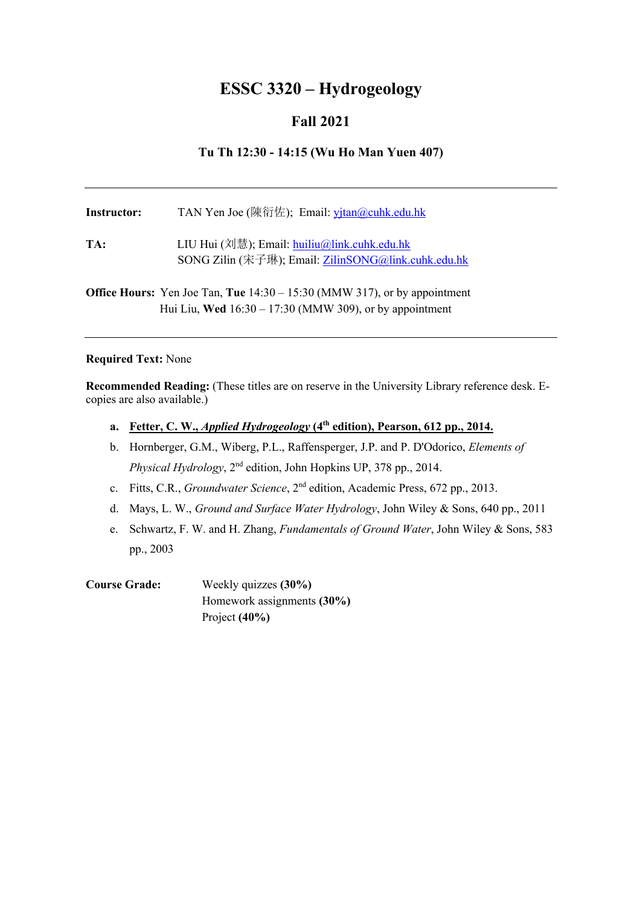# **ESSC 3320 – Hydrogeology**

## **Fall 2021**

## **Tu Th 12:30 - 14:15 (Wu Ho Man Yuen 407)**

| Instructor: | TAN Yen Joe (陳衍佐); Email: yjtan@cuhk.edu.hk                                                         |
|-------------|-----------------------------------------------------------------------------------------------------|
| TA:         | LIU Hui (刘慧); Email: huiliu@link.cuhk.edu.hk<br>SONG Zilin (宋子琳); Email: ZilinSONG@link.cuhk.edu.hk |
|             | <b>Office Hours:</b> Ven Loe Tan Tue $14.30 - 15.30$ (MMW $317$ ) or by appointment                 |

**Office Hours:** Yen Joe Tan, **Tue** 14:30 – 15:30 (MMW 317), or by appointment Hui Liu, **Wed** 16:30 – 17:30 (MMW 309), or by appointment

### **Required Text:** None

**Recommended Reading:** (These titles are on reserve in the University Library reference desk. Ecopies are also available.)

- **a. Fetter, C. W.,** *Applied Hydrogeology* **(4th edition), Pearson, 612 pp., 2014.**
- b. Hornberger, G.M., Wiberg, P.L., Raffensperger, J.P. and P. D'Odorico, *Elements of Physical Hydrology*, 2nd edition, John Hopkins UP, 378 pp., 2014.
- c. Fitts, C.R., *Groundwater Science*, 2nd edition, Academic Press, 672 pp., 2013.
- d. Mays, L. W., *Ground and Surface Water Hydrology*, John Wiley & Sons, 640 pp., 2011
- e. Schwartz, F. W. and H. Zhang, *Fundamentals of Ground Water*, John Wiley & Sons, 583 pp., 2003

**Course Grade:** Weekly quizzes **(30%)**  Homework assignments **(30%)** Project **(40%)**